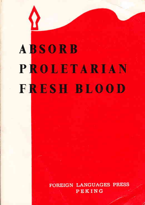# **ABSORB PROLETARIAN FRESH BLOOD**

FOREIGN LANGUAGES PRESS PEKING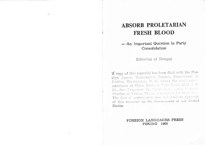## **ABSORB PROLETARIAN FRESH BLOOD**

#### - An Important Question in Party Consolidation

#### Editorial of Honggi

A copy of this material has been filed with the Foreign Agents Registration Section, Department of Justice, Washington, D. C. where the registration statement of China Books & Periodicals, 2023-270 St., San Francisco, Ca. 94110 as the agent of the a Shudian of Peking, China, is available for inspection. The fact of registration does not indicate approval of this material by the Government of the United States.

#### FOREIGN LANGUAGES PRESS PEKING 1968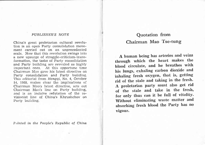#### PUBLISHER'S NOTE

**file** 

China's great proletarian cultural revolution is an open Party consolidation movement carried out on an unprecedented scale. Now that this revolution swings into a new upsurge of struggle-criticism-transformation, the tasks of Party consolidation and Party building are revealed as highly important ones. At this opportune time Chairman Mao gave his latest directive on Farty consolidation and Party building. This editorial from Hongqi, No. 4, October 14, 1968, makes clear the implications of Chairman Mao's latest directive, sets out Chairrnan Mao's line on Party building, and is an incisive refutation of the revisionist line of China's Khrushchov on Party building.

Printed in the People's Republic of China

## Quotation from Chairman Mao Tse-tung

A human being has arteries and veins through which the heart makes the blood circulate, and he breathes with his lungs, exhaling carbon dioxide and inhaling fresh oxygen, that is, getting rid of the stale and taking in the fresh. A proletarian party must also get rid of the stale and take in the fresh, for only thus can it be full of vitality. Without eliminating waste matter and absorbing fresh blood the Party has no vigour.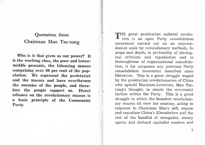## Quotation from Chairman Mao Tse-tung

Who is it that gives us our power? It is the working class, the poor and lowermiddle peasants, the labouring masses comprising over 90 per cent of the population. We represent the proletariat and the masses and have overthrown the enemies of the people, and therefore the people support us. Direct reliance on the revolutionary masses is a basic principle of the Communist Farty.

HE great proletarian cultural revolution is an open Party consolidation movement carried out on an unprecedented scale by revolutionary methods. In scope and depth, in profundity of ideological criticism and repudiation and in thoroughness of organizational consolidation, it far surpasses any previous Party consolidation movement launched since liberation. This is a great struggle waged by the proletarian revolutionaries of China who uphold Marxism-Leninism, Mao Tsetung's thought, to smash the revisionist faction within the Party. This is a great struggle in which the broadest revolutionary masses all over the country, acting in response to Chairman Mao's call, expose and repudiate China's Khrushchov and the rest of the handful of renegades, enemy agents and diehard capitalist roaders and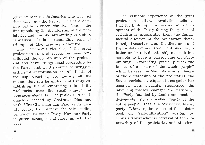other counter-revolutionaries who wormed their way into the Party. This is a decisive battle between the two lines — the sive battle between the two fines—the<br>line upholding the dictatorship of the proletariat and the line attempting to restore capitalism. It is a resounding song of triumph of Mao Tse-tung's thought.

The tremendous victories of the great proletarian cultural revolution have consolidated the dictatorship of the proletariat and have strengthened leadership by the Party, and, in the course of strugglecriticism-transformation in al1 fields of the superstructure, are uniting all the masses that can be united and firmly establishing the all-embracing rule of the proletariat over the small number of bourgeois elements. The proletarian headquarters headed by Chairman Mao and with Vice-Chairman Lin Piao as its deputy leader has become the sole leading centre of the whole Party. Now our Party is purer, stronger and more united than ever.

The valuable experience of the great proletarian cultural revolution teils us that the building, consolidation and development of the Party during the period of socialism is inseparable from the fundamental question of the proletarian dictatorship. Departure from the dictatorship of the proletariat and from continued revolution under this dictatorship makes it impossible to have a correct line on Party building. Froceeding precisely from the fallacy of a "state of the whole people" which betrays the Marxist-Leninist theory of the dictatorship of the proletariat, the Soviet revisionist clique of renegades has negated class struggle, suppressed the labouring masses, changed the nature of the Party founded by Lenin and made it degenerate into a so-called "party of the entire people", that is, a revisionist, fascist party. Likewise, the essence of the sinister book on "self-cultivation" written by China's Khrushchov is betrayal of the dictatorship of the proletariat and of scien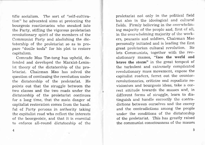tific socialism. The sort of "self-cultivation" he advocated aims at protecting the bourgeois reactionaries who sneaked into the Party, stifling the vigorous proletarian revolutionary spirit of the members of the Communist Party and abolishing the dictatorship of the proletariat so as to prepare "docile tools" for his plot to restore eapitalism.

Comrade Mao Tse-tung has upheld, defended and developed the Marxist-Leninist theory of the dictatorship of the proletariat. Chairman Mao has solved the question of continuing the revolution under the dictatorship of the proletariat. He points out that the struggle between the two classes and the two roads under the dictatorship of the proletariat continues for a long time, that the main danger of capitalist restoration comes from the handful of Party persons in authority taking the capitalist road who reflect the interests of the bourgeoisie, and that it is essential to enforce all-round dictatorship of the proletariat not only in the political field but also in the ideological and cultural fields. Firmly believing in the overwhelming majority of the people and, first cf all, in the overwhelming majority of the workers, peasants and soldiers, Chairman Mao personally initiated and is leading the first great proletarian cultural revolution. He lets Communists, together with the revolutionary masses, "face the world and brave the storm" in the great tempest of the turbulent and extremely complicated revolutionary mass movement, expose the capitalist roaders, ferret out the counterrevolutionaries, criticize and repudiate revisionism and bourgeois ideas, take a correct attitude towards the masses and, in different forms of struggle, learn to distinguish and handle correctly the contradictions between ourselves and the enemy and the contradictions among the people under the conditions of the dictatorship of the proletariat. This has greatly raised the communist consciousness of the masses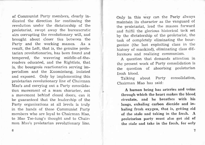of Communist Party mernbers, clearly indicated the direction for continuing the revolution under the dictatorship of the proletariat, swept away the bureaucratic airs corrupting the revolutionary will, and brought about closer ties between the Party and the working masses. As a result, the Left, that is, the genuine proletarian revolutionaries, has been found and tempered, the wavering middle-of-theroaders educated, and the Rightists, that is, the bourgeois reactionaries serving imperialism and the Kuomintang, isolated and exposed. Only by implementing this proletarian revolutionary line of Chairman Mao's and carrying out a Party consolidation movernent of a mass character, not a movement behind closed doors, can it be guaranteed that the leadership of the Party organizations at all levels is truly in the hands of those Communist Party members who are loyal to Chairman Mao, to Mao Tse-tung's thought and to Chairman Mao's proletarian revolutionary line.

Only in this way can the Party always maintain its character as the vanguard of the proletariat, lead the masses forward and fulfil the glorious historical task set by the dictatorship of the proletariat, the task of completely eliminating the bourgeoisie (the last exploiting class in the history of mankind), eliminating class differences and realizing communism.

A question that demands attention in the present work of Party consolidation is the question of absorbing proletarian fresh b1ood.

Talking about PartY Chairman Mao has said: consolidation,

A human heing has arteries and veins through which the heart makes the blood circulate, and he breathes with his Iungs, exhaling carbon dioxide and inhaling fresh oxygen, that is, getting rid of the stale and taking in the fresh. A proletarian party must also get rid of the stale and takc in the fresh, for only

6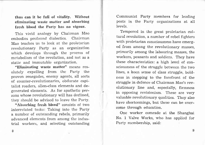thus can it be full of vitality. Without eliminating waste matter and absorbing fresh blood the Party has no vigour.

This vivid analogy by Chairman Mao embodies profound dialectics. Chairman Mao teaches us to look at the proletarian revolutionary Party as an organization which develops through the process of metabolism of the revolution, and not as <sup>a</sup> static and immutable organization.

"Eliminating waste matter" means resolutely expelling from the Party the proven renegades, enemy agents, all sorts of counter-revolutionaries, obdurate capitalist roaders, alien-class elements and degenerated elements. As for apathetic persons whose revolutionary will has declined, they should be advised to leave the Party.

"Absorbing fresh blood" consists of two interrelated tasks: Taking into the Party a number of outstanding rebels, primarily advanced elernents from among the industrial workers, and selecting outstanding Communist Party members for leading posts in the Party organizations at all levels.

Tempered in the great proletarian cultural revolution, a number of rebel fighters with proletarian consciousness have emerged from among the revolutionary masses, primarily among the labouring masses, the workers, peasants and soldiers. They have these characteristics: a high level of consciousness of the struggle between the two lines, a keen sense of class struggle, boldness in stepping to the forefront of the struggle in defence of Chairman Mao's revolutionary Line and, especially, firrnness in opposing revisionism. These are very valuable revolutionary qualities. They also have shortcomings, but these can be overcome through education.

One worker comrade at the Shanghai No. 1 Valve Works, who has applied for Party membership, said:

o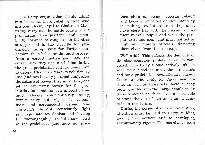The Party organization should admit into its ranks those rebel fighters who are boundlessly 1oyal to Chairman Mao, firrnly carry out the battle orders of the proletarian headquarters and press boldly forward as vanguard in the class struggle and in the struggle for production. In applying for Party membership, the rebel comrades must proceed frorn a correct motive and have the correct aim: they rise in rebellion during the great proletarian cultural revolution to defend Chairman Mao's revolutionary line (and not for any personal aim); after the seizure of power, they must do a good job in exercising power for the proletariat (and not for self-interest); they must always conscientiously study, firmly carry out, vigorously disseminate and courageously defend Mao Tse-tung's thought, consciously fight self, repudiate revisionism and develop the thoroughgoing revolutionary spirit of the proletariat (and must not pride themselves on being "veteran rebels" and become conceited or stop half-way in making revolution); and they must have close ties with the masses, act as their humble pupils and serve the people heart and soul (and must not act as high and mighty officials, divorcing themselves from the masses).

Well said! This reflects the demands of the class-conscious proletariat on its vanguard. The Party should actively take in such new blood as meet these demands and have proletarian revolutionary vigour. Comrades who apply for Party membership, as well as those who have already been admitted into the Party, should make these demands on themselves and be able to stand the test of storms of any magnitude in the future.

During the period of socialist revolution, attention must be paid to Party building among the workers and to developing revolutionary vigour. This has always been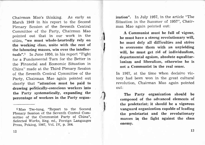Chairman Mao's thinking. As early as March 1949 in his report to the Second Plenary Session of the Seventh Central Committee of the Party, Chairman Mao pointed out that in our work in the cities, "we must whole-heartedly rely on the working class, unite with the rest of the labouring masses, win over the intellectuals".<sup>1</sup> In June 1950, in his report "Fight" for a Fundamental Turn for the Better in the Financial and Economic Situation in China" made at the Third Plenary Session of the Seventh Central Committee of the Party, Chairman Mao again pointed out clearly that "attention must be paid to drawing politically-conscious workers into the Party systematically, expanding the percentage of workers in the Party organ-

l Mao Tse-tung, "Report to the Second Plenary Session of the Seventh Central Committee of the Communist Party of China", Selected Works, Eng. ed., Foreign Languages Press, Peking, 1967, Vol. IV, P. 364.

izatiom". In July 1957, in the article "The Situation in the Summer of 1957", Chairman Mao again pointed out:

t

I

 $\mathcal{F}$ 

l

A Communist must be full of vigour, he must have a strong revolutionary will, he must defy all difficulties and strive to overcome them with an unyielding will, he must get rid of individualism, departmental egoism, absolute equalitarianism and liberalism, otherwise he is not a Communist in the real sense.

In 1967, at the time when decisive victory had been won in the great cultural revolution, Chairman Mao again pointed out:

The Party organization should be composed of the advanced elements of the proletariat; it should be a vigorous vanguard organization capable of leading the proletariat and the revolutionary masses in the fight against the class enemy.

L2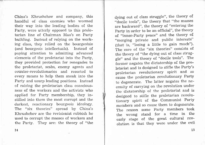China's Khrushchov and company, this handful of class enemies who wormed their way into the leading bodies of the Farty, were utterly opposed to this proletarian line of Chairrnan Mao's on Party building. Instead of relying on the working class, they relied on the bourgeoisie (and bourgeois intellectuals). Instead of paying attention to admitting advanced elements of the proletariat into the Party, they provided protection for renegades to the proletariat, scabs, enemy agents and counter-revolutionaries and resorted to every means to help them sneak into the Party and usurp leading positions. Instead of raising the proletarian class consciousness of the workers and the activists who applied for Party membership, they instilled into them the most corrupt and the darkest, reactionary bourgeois ideology. The "six theories" spread by China's I{hrushchov are the revisionist rubbish he used to corrupt the masses of workers and the Party. They are: the theory of "the dying out of class struggle", the theory of "docile tools", the theory that "the masses are backward", the theory of "entering the Party in order to be an official", the theory of "inner-Party peace" and the theory of "merging private and public interests" (that is, "losing a little to gain much"). The core of the "six theories" consists of the theory of "the dying out of class struggle" ancl the theory of "docile tools". The former negates the dictatorship of the pro-Ietariat and is designed to stifle the Party's proletarian revolutionary spirit and so cause the proletarian revolutionary Party to degenerate. The latter negates the necessity of carrying on the revolution under the dictatorship of the proletariat and is designed to stifle the proletarian revolutionary spirit of the Communist Farty members and so cause them to degenerate. The reason some Party members took the wrong stand for a time in the early stage of the great cultural revolution is that they were under the evil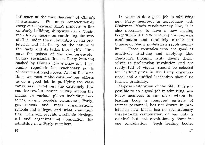influence of the "six theories" of China's Khrushchov. We must conscientiously carry out Chairman Mao's proletarian line on Party building, diligenily study Chairman Mao's theory on continuing the rev\_ olution under the dictatorship of the proletariat and his theory on the nature of the Party and its tasks, thoroughly eliminate the poison of the counter-revolutionary revisionist line on party building pushed by China's Khrushchov and thoroughly repudiate his reactionary points of view mentioned above. And at the same time, we must make conscientious efforts to do a good job in purifying the class ranks and ferret out the extremely few counter-revolutionaries lurking among the masses in various places including factories, shops, people's communes, party, government and mass organizations, schools and colIeges, and urban communities. This wiil provide a reliable ideologica1 and organizational foundation for admitting new Party members.

In order to do a good job in admitting new Party members in accordance with Chairman Mao's revolutionary 1ine, it is also necessary to have a new leading body which is a revolutionary three-in-one combination and resolutely carries out Chairman Mao's proletarian revolutionary line. Those comrades who are good at creatively studying and applying Mao Tse-tung's thought, truly devote themselves to proletarian revolution and are really full of vigour, should be selected for leading posts in the Party organizations, and a unified leadership should be formed gradually.

Oppose restoration of the old. It is impossible to do a good job in admitting new Party members in any place where the leading body is composed entirely of former personnel, has not drawn in proletarian new blood, has no revolutionary three-in-one combination or has only <sup>a</sup> nominal but not revolutionary three-inone combination. Such leading bodies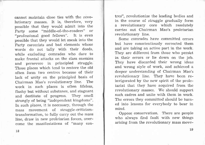cannot maintain close ties with the revolutionary masses. It is, therefore, very possible that they would admit into the Party some "middle-of-the-roaders" or "professional good fellows". It is even possible that they would let sneak into the Party careerists and bad elements whose words do not tally with their deeds, while excluding comrades who dare to make frontal attacks on the class enemies and persevere in principled struggle, Those places which tend to restore the old often form two centres because of their lack of unity on the principled basis of Chairman Mao's revolutionary 1ine. The work in such places is often lifeless, flashy but without substance, and stagnant and destitute of progress. They smell strongly of being "independent kingdoms". In such places, it is necessary, through the mass movement of struggle-criticismtransformation, to fully carry out the mass 1ine, draw in new proletarian forces, overcome the manifestations of "many centres", revolutionize the leading bodies and in the course of struggle gradually forrn a revolutionary core which resolutely carries out Chairman Mao's proletarian revolutionary line.

Some comrades have committed errors but have conscientiously corrected them and are taking an active part in the work. They are different from those who persist in their errors or lie down on the job. They have discarded their wrong ideas and wrong style of work, and achieved a deeper understanding of Chairman Mao's revolutionary line. They have been reinvigorated by the new spirit of the proletariat that they have acquired from the revolutionary masses. We should support such cadres and unite with them in work. The errors they committed should be turned into Iessons for everybody to bear in mind.

Oppose conservatism. There are people who always find fault with new things arising from the revolutionary mass move-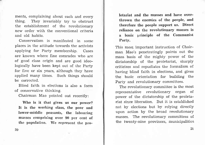ments, complaining about each and every thing. They invariably try to obstruct the establishment of the revolutionary new order with the conventional criteria and old habits.

Conservatism is manifested in some places in the attitude towards the activists applying for Party membership. Cases are known where fine comrades who are of good class origin and are good ideologically have been kept out of the Party for five or six years, although they have applied many times. Such things should be corrected.

Blind faith in elections is also a form of conservative thinking.

Chairman Mao pointed out recently:

Who is it that gives us our power? It is the working class, the poor and lower-middle peasants, the labouring masses comprising over g0 per cent of the population. We represent the proIetariat and the masses and have overthrown the enemies of the people, and therefore the people support us. Direct reliance on the revolutionary masses is a basic principle of the Communist Party.

This most important instruction of Chairman Mao's penetratingly points out the mass basis of the mighty power of the dictatorship of the proletariat, sharply criticizes and repudiates the formalism of having blind faith in elections, and gives the basic orientation for building the Party and revolutionary committees.

The revolutionary committee is the most representative revolutionary organ of power of the dictatorship of the proletariat since liberation. But it is established not by elections but by relying directly upon action by the broad revolutionary masses. The revolutionary committees of the twenty-nine provinces, municipalities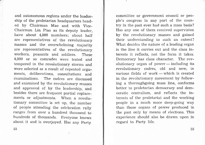and autonomous regions under the leadership of the proletarian headquarters headed by Chairman Mao and with Vice-Chairman Lin Piao as its deputy leader, have about 4,000 members; about half are representatives of the revolutionary masses and the overwhelming majority are representatives of the revolutionary workers, peasants and soldiers. These 4,000 or so comrades were tested and tempered in the revolutionary storms and were selected as a result of repeated arguments, deliberations, consultations and<br>examinations. The cadres are discussed The cadres are discussed and examined by the revolutionary masses and approved of by the leadership, and besides there are frequent partial replacements or adjustments. When a revolutionary committee is set up, the number of people attending the celebration rally ranges from over a hundred thoursand to hundreds of thousands. Everyone knows about it and is overjoyed. Has any party

committee or government council or people's congress in any part of the country in the past ever had such a mass basis? Has any one of them received supervision by the revolutionary masses and gained their understanding to such an extent? What decides the nature of a leading organ is the line it carries out and the class interests it reflects, not the form it takes. Democracy has class character. The revolutionary organ of power-including its - revolutionary cadres, old and new, in various fields of work — which is created various rietus of work — which is created<br>in the revolutionary movement by following a thoroughgoing mass line, conforms better to proletarian democracy and democratic centralism, and reflects the interests of the proletariat and the working people in a much more deep-going way than those organs of power produced in the past only by means of elections. This experience should also be drawn upon in regard to Party life.

22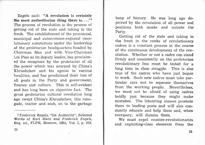Engels said: "A revolution is certainly the most authoritarian thing there is.  $\dots$ <sup>"1</sup> The process of revolution is the process of getting rid of the stale and taking in the fresh. The establishment of the provincial, municipal and autonomous-regional revolutionary committees under the leadership of the proletarian headquarters headed by Chairman Mao and with Vice-Chairman Lin Piao as its deputy leader, has proclaimed the recapture by the proletariat of all the power which was usurped by China's Khrushchov and his agents in various localities, and has proclaimed their loss of all posts in the Party and government, finance and culture. This is self-evident and has long been an objective fact. The great proletarian cultural revolution long ago swept China's Khrushchov, this renegade, traitor and scab, on to the garbage

heap of history. He was long ago deprived by the revolution of all power and positions both inside and outside the Party.

Getting rid of the stale and taking in the fresh in the ranks of revolutionary cadres is a constant process in the course of the continuous development of the revolution. Whether or not a cadre can stand firmly and consistently on the proletarian revolutionary line must be tested for <sup>a</sup> long time in class struggle. This is also true of the cadres who have just begun to work. Such new cadres must take particular care not to separate themselves from the working people. Nevertheless, we must not be afraid of using cadres boldly just because they might make mistakes. The labouring masses promote them to leading posts and will also constantly educate and help them and, when necessary, will dismiss them.

We must expel counter-revolutionaries and exploiting-class elements from the

<sup>1</sup>Frederick Engels, "On Authority", Selected Works of Karl Marx and Frederick Engels, Eng. ed., FLPH, Moscow, 1951, Vol. I, p. 578.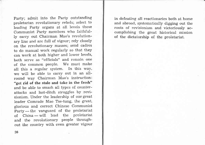Party; admit into the Party outstanding proletarian revolutionary rebels; select to leading Party organs at al1 levels those Communist Party members who faithfully carry out Chairman Mao's revolutionary Iine and are full of vigour; rely closely on the revolutionary masses; send cadres to do manual work regularly so that they can work at both higher and lower levels, both serve as "officials" and remain one of the common people. We must make all this a regular system. In this way, we will be able to carry out in an allround way Chairman Mao's instruction: "get rid of the stale and take in the fresh" and be able to srnash all types of counterattacks and last-ditch struggles by revisionism. Under the leadership of our great Ieader Comrade Mao Tse-tung, the great, glorious and corect Chinese Communist Party — the vanguard of the proletariat Party — the vanguard of the profetariate<br>of China — will lead the proletariat or China – will lead the profetarial out the country with even greater vigour

in defeating all reactionaries both at home and abroad, systematically digging out the roots of revisionism and victoriously accomplishing the great historical mission of the dictatorship of the proletariat.